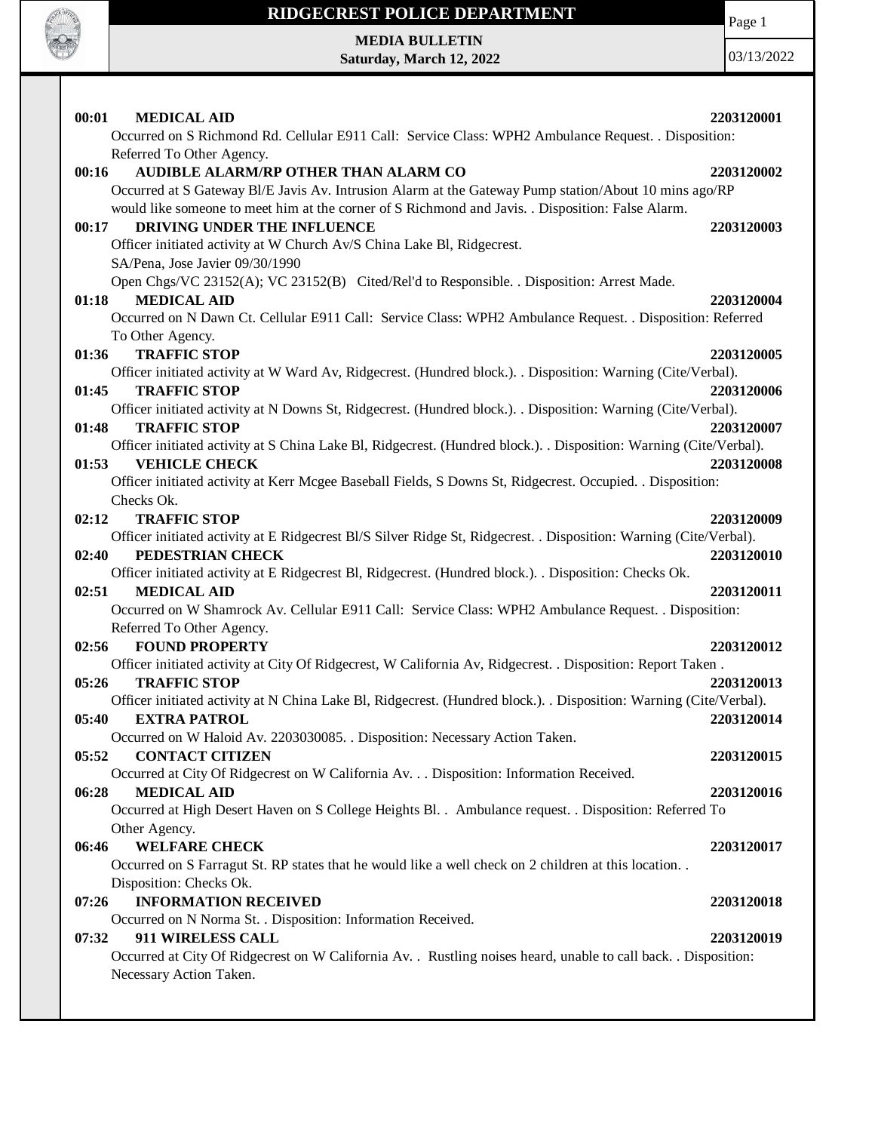

# **RIDGECREST POLICE DEPARTMENT MEDIA BULLETIN**

**Saturday, March 12, 2022**

Page 1

| 00:01<br><b>MEDICAL AID</b>                                                                                                                            | 2203120001 |
|--------------------------------------------------------------------------------------------------------------------------------------------------------|------------|
| Occurred on S Richmond Rd. Cellular E911 Call: Service Class: WPH2 Ambulance Request. . Disposition:<br>Referred To Other Agency.                      |            |
| AUDIBLE ALARM/RP OTHER THAN ALARM CO<br>00:16<br>Occurred at S Gateway Bl/E Javis Av. Intrusion Alarm at the Gateway Pump station/About 10 mins ago/RP | 2203120002 |
| would like someone to meet him at the corner of S Richmond and Javis. . Disposition: False Alarm.<br>DRIVING UNDER THE INFLUENCE<br>00:17              | 2203120003 |
| Officer initiated activity at W Church Av/S China Lake Bl, Ridgecrest.<br>SA/Pena, Jose Javier 09/30/1990                                              |            |
| Open Chgs/VC 23152(A); VC 23152(B) Cited/Rel'd to Responsible. . Disposition: Arrest Made.<br><b>MEDICAL AID</b>                                       | 2203120004 |
| 01:18<br>Occurred on N Dawn Ct. Cellular E911 Call: Service Class: WPH2 Ambulance Request. . Disposition: Referred<br>To Other Agency.                 |            |
| <b>TRAFFIC STOP</b><br>01:36                                                                                                                           | 2203120005 |
| Officer initiated activity at W Ward Av, Ridgecrest. (Hundred block.). . Disposition: Warning (Cite/Verbal).                                           |            |
| <b>TRAFFIC STOP</b><br>01:45                                                                                                                           | 2203120006 |
| Officer initiated activity at N Downs St, Ridgecrest. (Hundred block.). . Disposition: Warning (Cite/Verbal).<br><b>TRAFFIC STOP</b><br>01:48          | 2203120007 |
| Officer initiated activity at S China Lake Bl, Ridgecrest. (Hundred block.). . Disposition: Warning (Cite/Verbal).                                     |            |
| <b>VEHICLE CHECK</b><br>01:53                                                                                                                          | 2203120008 |
| Officer initiated activity at Kerr Mcgee Baseball Fields, S Downs St, Ridgecrest. Occupied. . Disposition:                                             |            |
| Checks Ok.<br>02:12<br><b>TRAFFIC STOP</b>                                                                                                             | 2203120009 |
| Officer initiated activity at E Ridgecrest Bl/S Silver Ridge St, Ridgecrest. . Disposition: Warning (Cite/Verbal).                                     |            |
| PEDESTRIAN CHECK<br>02:40                                                                                                                              | 2203120010 |
| Officer initiated activity at E Ridgecrest Bl, Ridgecrest. (Hundred block.). Disposition: Checks Ok.                                                   |            |
| 02:51<br><b>MEDICAL AID</b>                                                                                                                            | 2203120011 |
| Occurred on W Shamrock Av. Cellular E911 Call: Service Class: WPH2 Ambulance Request. . Disposition:<br>Referred To Other Agency.                      |            |
| <b>FOUND PROPERTY</b><br>02:56                                                                                                                         | 2203120012 |
| Officer initiated activity at City Of Ridgecrest, W California Av, Ridgecrest. . Disposition: Report Taken.                                            |            |
| <b>TRAFFIC STOP</b><br>05:26                                                                                                                           | 2203120013 |
| Officer initiated activity at N China Lake Bl, Ridgecrest. (Hundred block.). Disposition: Warning (Cite/Verbal).                                       |            |
| <b>EXTRA PATROL</b><br>05:40<br>Occurred on W Haloid Av. 2203030085. . Disposition: Necessary Action Taken.                                            | 2203120014 |
| <b>CONTACT CITIZEN</b><br>05:52                                                                                                                        | 2203120015 |
| Occurred at City Of Ridgecrest on W California Av. Disposition: Information Received.                                                                  |            |
| <b>MEDICAL AID</b><br>06:28                                                                                                                            | 2203120016 |
| Occurred at High Desert Haven on S College Heights Bl. . Ambulance request. . Disposition: Referred To                                                 |            |
| Other Agency.                                                                                                                                          |            |
| <b>WELFARE CHECK</b><br>06:46<br>Occurred on S Farragut St. RP states that he would like a well check on 2 children at this location                   | 2203120017 |
| Disposition: Checks Ok.                                                                                                                                |            |
| <b>INFORMATION RECEIVED</b><br>07:26                                                                                                                   | 2203120018 |
| Occurred on N Norma St. . Disposition: Information Received.                                                                                           |            |
| 07:32<br>911 WIRELESS CALL                                                                                                                             | 2203120019 |
| Occurred at City Of Ridgecrest on W California Av. . Rustling noises heard, unable to call back. . Disposition:<br>Necessary Action Taken.             |            |
|                                                                                                                                                        |            |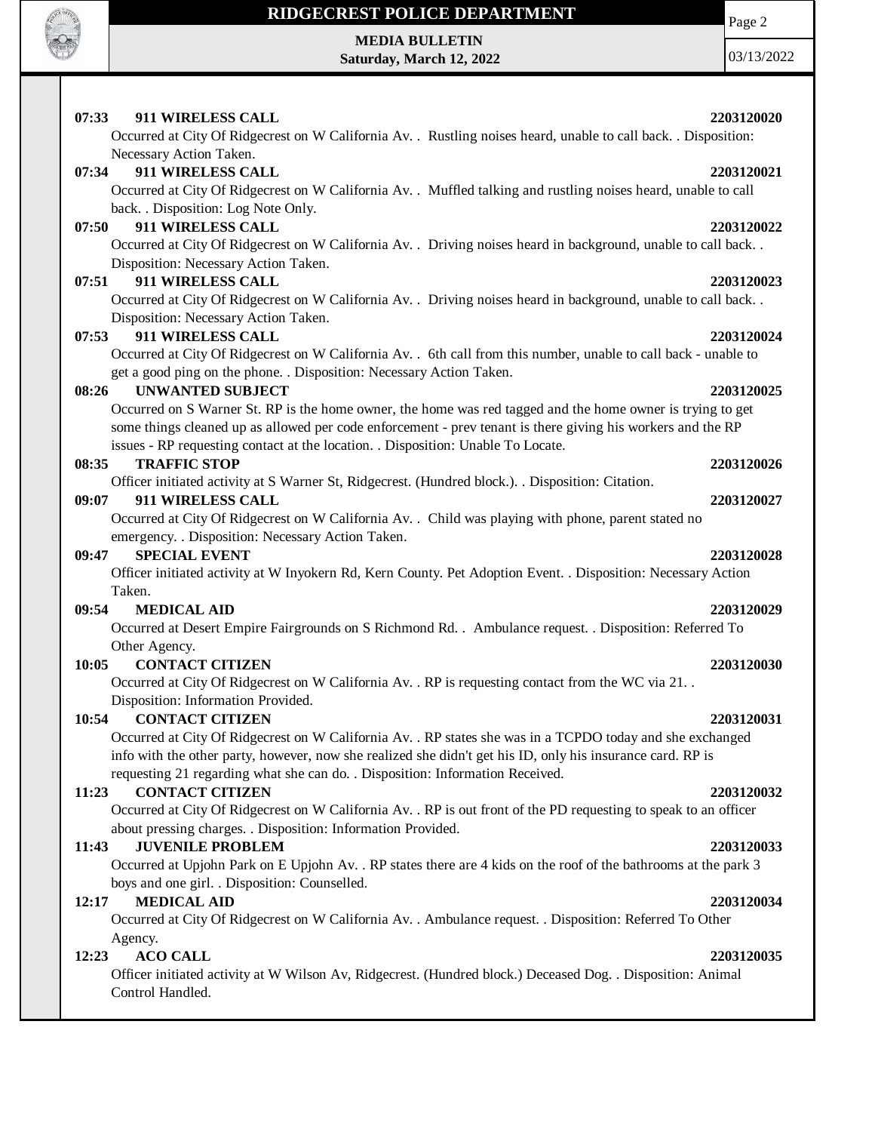

**MEDIA BULLETIN Saturday, March 12, 2022** Page 2

| 07:33<br>911 WIRELESS CALL<br>Occurred at City Of Ridgecrest on W California Av. . Rustling noises heard, unable to call back. . Disposition:                                                                                                                                                                                         | 2203120020 |
|---------------------------------------------------------------------------------------------------------------------------------------------------------------------------------------------------------------------------------------------------------------------------------------------------------------------------------------|------------|
| Necessary Action Taken.<br>07:34<br>911 WIRELESS CALL<br>Occurred at City Of Ridgecrest on W California Av. . Muffled talking and rustling noises heard, unable to call                                                                                                                                                               | 2203120021 |
| back. . Disposition: Log Note Only.<br>911 WIRELESS CALL<br>07:50<br>Occurred at City Of Ridgecrest on W California Av. . Driving noises heard in background, unable to call back. .                                                                                                                                                  | 2203120022 |
| Disposition: Necessary Action Taken.<br>911 WIRELESS CALL<br>07:51<br>Occurred at City Of Ridgecrest on W California Av. . Driving noises heard in background, unable to call back. .                                                                                                                                                 | 2203120023 |
| Disposition: Necessary Action Taken.<br>911 WIRELESS CALL<br>07:53<br>Occurred at City Of Ridgecrest on W California Av. . 6th call from this number, unable to call back - unable to                                                                                                                                                 | 2203120024 |
| get a good ping on the phone. . Disposition: Necessary Action Taken.<br>08:26<br><b>UNWANTED SUBJECT</b><br>Occurred on S Warner St. RP is the home owner, the home was red tagged and the home owner is trying to get<br>some things cleaned up as allowed per code enforcement - prev tenant is there giving his workers and the RP | 2203120025 |
| issues - RP requesting contact at the location. . Disposition: Unable To Locate.<br>08:35<br><b>TRAFFIC STOP</b><br>Officer initiated activity at S Warner St, Ridgecrest. (Hundred block.). . Disposition: Citation.                                                                                                                 | 2203120026 |
| 09:07<br>911 WIRELESS CALL<br>Occurred at City Of Ridgecrest on W California Av. . Child was playing with phone, parent stated no<br>emergency. . Disposition: Necessary Action Taken.                                                                                                                                                | 2203120027 |
| <b>SPECIAL EVENT</b><br>09:47<br>Officer initiated activity at W Inyokern Rd, Kern County. Pet Adoption Event. . Disposition: Necessary Action                                                                                                                                                                                        | 2203120028 |
| Taken.<br>09:54<br><b>MEDICAL AID</b><br>Occurred at Desert Empire Fairgrounds on S Richmond Rd. . Ambulance request. . Disposition: Referred To                                                                                                                                                                                      | 2203120029 |
| Other Agency.<br><b>CONTACT CITIZEN</b><br>10:05<br>Occurred at City Of Ridgecrest on W California Av. . RP is requesting contact from the WC via 21. .                                                                                                                                                                               | 2203120030 |
| Disposition: Information Provided.<br><b>CONTACT CITIZEN</b><br>10:54<br>Occurred at City Of Ridgecrest on W California Av. . RP states she was in a TCPDO today and she exchanged<br>info with the other party, however, now she realized she didn't get his ID, only his insurance card. RP is                                      | 2203120031 |
| requesting 21 regarding what she can do. . Disposition: Information Received.<br><b>CONTACT CITIZEN</b><br>11:23<br>Occurred at City Of Ridgecrest on W California Av. . RP is out front of the PD requesting to speak to an officer<br>about pressing charges. . Disposition: Information Provided.                                  | 2203120032 |
| <b>JUVENILE PROBLEM</b><br>11:43<br>Occurred at Upjohn Park on E Upjohn Av. . RP states there are 4 kids on the roof of the bathrooms at the park 3<br>boys and one girl. . Disposition: Counselled.                                                                                                                                  | 2203120033 |
| <b>MEDICAL AID</b><br>12:17<br>Occurred at City Of Ridgecrest on W California Av. . Ambulance request. . Disposition: Referred To Other<br>Agency.                                                                                                                                                                                    | 2203120034 |
| <b>ACO CALL</b><br>12:23<br>Officer initiated activity at W Wilson Av, Ridgecrest. (Hundred block.) Deceased Dog. . Disposition: Animal<br>Control Handled.                                                                                                                                                                           | 2203120035 |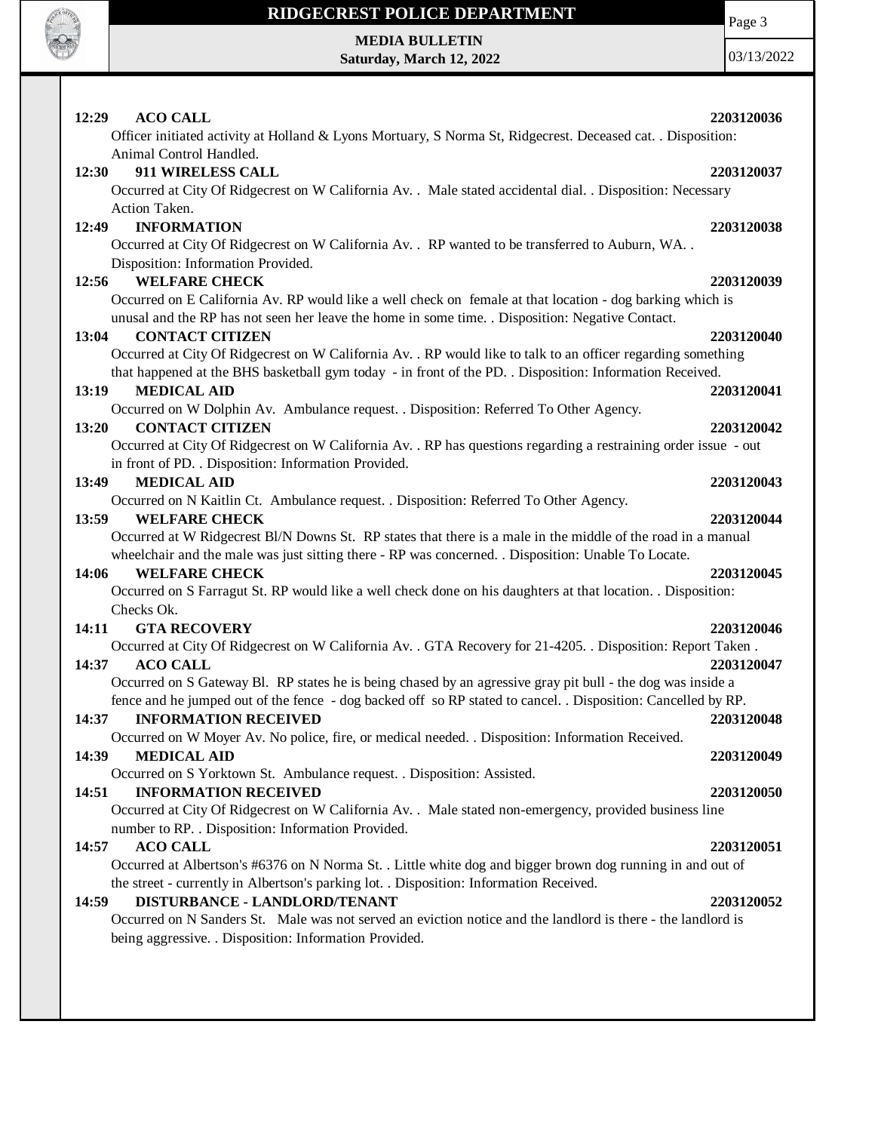

**MEDIA BULLETIN Saturday, March 12, 2022**

03/13/2022

Page 3

| 12:29<br><b>ACO CALL</b>                                                                                        | 2203120036 |
|-----------------------------------------------------------------------------------------------------------------|------------|
| Officer initiated activity at Holland & Lyons Mortuary, S Norma St, Ridgecrest. Deceased cat. . Disposition:    |            |
| Animal Control Handled.                                                                                         |            |
| 911 WIRELESS CALL<br>12:30                                                                                      | 2203120037 |
| Occurred at City Of Ridgecrest on W California Av. . Male stated accidental dial. . Disposition: Necessary      |            |
| Action Taken.                                                                                                   |            |
| <b>INFORMATION</b><br>12:49                                                                                     | 2203120038 |
| Occurred at City Of Ridgecrest on W California Av. . RP wanted to be transferred to Auburn, WA. .               |            |
| Disposition: Information Provided.                                                                              |            |
| <b>WELFARE CHECK</b><br>12:56                                                                                   | 2203120039 |
| Occurred on E California Av. RP would like a well check on female at that location - dog barking which is       |            |
| unusal and the RP has not seen her leave the home in some time. . Disposition: Negative Contact.                |            |
| <b>CONTACT CITIZEN</b><br>13:04                                                                                 | 2203120040 |
| Occurred at City Of Ridgecrest on W California Av. . RP would like to talk to an officer regarding something    |            |
| that happened at the BHS basketball gym today - in front of the PD. . Disposition: Information Received.        |            |
| <b>MEDICAL AID</b><br>13:19                                                                                     | 2203120041 |
| Occurred on W Dolphin Av. Ambulance request. . Disposition: Referred To Other Agency.                           |            |
| <b>CONTACT CITIZEN</b><br>13:20                                                                                 | 2203120042 |
| Occurred at City Of Ridgecrest on W California Av. . RP has questions regarding a restraining order issue - out |            |
| in front of PD. . Disposition: Information Provided.                                                            |            |
| <b>MEDICAL AID</b><br>13:49                                                                                     | 2203120043 |
| Occurred on N Kaitlin Ct. Ambulance request. . Disposition: Referred To Other Agency.                           |            |
| 13:59<br><b>WELFARE CHECK</b>                                                                                   | 2203120044 |
| Occurred at W Ridgecrest Bl/N Downs St. RP states that there is a male in the middle of the road in a manual    |            |
| wheelchair and the male was just sitting there - RP was concerned. . Disposition: Unable To Locate.             |            |
| <b>WELFARE CHECK</b><br>14:06                                                                                   | 2203120045 |
| Occurred on S Farragut St. RP would like a well check done on his daughters at that location. . Disposition:    |            |
| Checks Ok.                                                                                                      |            |
| 14:11<br><b>GTA RECOVERY</b>                                                                                    | 2203120046 |
| Occurred at City Of Ridgecrest on W California Av. . GTA Recovery for 21-4205. . Disposition: Report Taken.     |            |
| <b>ACO CALL</b><br>14:37                                                                                        | 2203120047 |
| Occurred on S Gateway Bl. RP states he is being chased by an agressive gray pit bull - the dog was inside a     |            |
| fence and he jumped out of the fence - dog backed off so RP stated to cancel. Disposition: Cancelled by RP.     |            |
| 14:37<br><b>INFORMATION RECEIVED</b>                                                                            | 2203120048 |
| Occurred on W Moyer Av. No police, fire, or medical needed. . Disposition: Information Received.                |            |
| <b>MEDICAL AID</b><br>14:39                                                                                     | 2203120049 |
| Occurred on S Yorktown St. Ambulance request. . Disposition: Assisted.                                          |            |
| <b>INFORMATION RECEIVED</b><br>14:51                                                                            | 2203120050 |
| Occurred at City Of Ridgecrest on W California Av. . Male stated non-emergency, provided business line          |            |
| number to RP. . Disposition: Information Provided.                                                              |            |
| 14:57<br><b>ACO CALL</b>                                                                                        | 2203120051 |
| Occurred at Albertson's #6376 on N Norma St. . Little white dog and bigger brown dog running in and out of      |            |
| the street - currently in Albertson's parking lot. . Disposition: Information Received.                         |            |
| DISTURBANCE - LANDLORD/TENANT<br>14:59                                                                          | 2203120052 |
| Occurred on N Sanders St. Male was not served an eviction notice and the landlord is there - the landlord is    |            |
| being aggressive. . Disposition: Information Provided.                                                          |            |
|                                                                                                                 |            |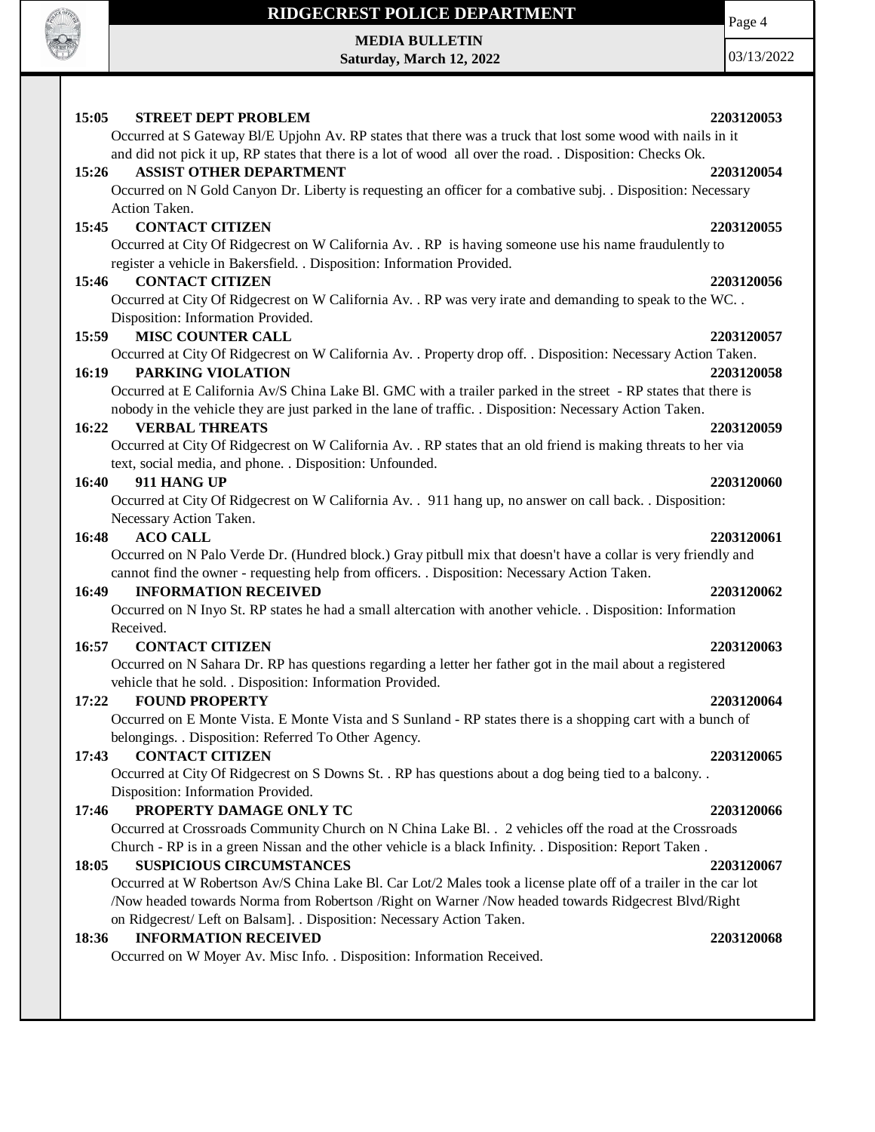

**MEDIA BULLETIN Saturday, March 12, 2022**

03/13/2022

Page 4

### **15:05 STREET DEPT PROBLEM 2203120053** Occurred at S Gateway Bl/E Upjohn Av. RP states that there was a truck that lost some wood with nails in it and did not pick it up, RP states that there is a lot of wood all over the road. . Disposition: Checks Ok. **15:26 ASSIST OTHER DEPARTMENT 2203120054** Occurred on N Gold Canyon Dr. Liberty is requesting an officer for a combative subj. . Disposition: Necessary Action Taken. **15:45 CONTACT CITIZEN 2203120055** Occurred at City Of Ridgecrest on W California Av. . RP is having someone use his name fraudulently to register a vehicle in Bakersfield. . Disposition: Information Provided. **15:46 CONTACT CITIZEN 2203120056** Occurred at City Of Ridgecrest on W California Av. . RP was very irate and demanding to speak to the WC. . Disposition: Information Provided. **15:59 MISC COUNTER CALL 2203120057** Occurred at City Of Ridgecrest on W California Av. . Property drop off. . Disposition: Necessary Action Taken. **16:19 PARKING VIOLATION 2203120058** Occurred at E California Av/S China Lake Bl. GMC with a trailer parked in the street - RP states that there is nobody in the vehicle they are just parked in the lane of traffic. . Disposition: Necessary Action Taken. **16:22 VERBAL THREATS 2203120059** Occurred at City Of Ridgecrest on W California Av. . RP states that an old friend is making threats to her via text, social media, and phone. . Disposition: Unfounded. **16:40 911 HANG UP 2203120060** Occurred at City Of Ridgecrest on W California Av. . 911 hang up, no answer on call back. . Disposition: Necessary Action Taken. **16:48 ACO CALL 2203120061** Occurred on N Palo Verde Dr. (Hundred block.) Gray pitbull mix that doesn't have a collar is very friendly and cannot find the owner - requesting help from officers. . Disposition: Necessary Action Taken. **16:49 INFORMATION RECEIVED 2203120062** Occurred on N Inyo St. RP states he had a small altercation with another vehicle. . Disposition: Information Received. **16:57 CONTACT CITIZEN 2203120063** Occurred on N Sahara Dr. RP has questions regarding a letter her father got in the mail about a registered vehicle that he sold. . Disposition: Information Provided. **17:22 FOUND PROPERTY 2203120064** Occurred on E Monte Vista. E Monte Vista and S Sunland - RP states there is a shopping cart with a bunch of belongings. . Disposition: Referred To Other Agency. **17:43 CONTACT CITIZEN 2203120065** Occurred at City Of Ridgecrest on S Downs St. . RP has questions about a dog being tied to a balcony. . Disposition: Information Provided. **17:46 PROPERTY DAMAGE ONLY TC 2203120066** Occurred at Crossroads Community Church on N China Lake Bl. . 2 vehicles off the road at the Crossroads Church - RP is in a green Nissan and the other vehicle is a black Infinity. . Disposition: Report Taken . **18:05 SUSPICIOUS CIRCUMSTANCES 2203120067** Occurred at W Robertson Av/S China Lake Bl. Car Lot/2 Males took a license plate off of a trailer in the car lot /Now headed towards Norma from Robertson /Right on Warner /Now headed towards Ridgecrest Blvd/Right

on Ridgecrest/ Left on Balsam]. . Disposition: Necessary Action Taken.

### **18:36 INFORMATION RECEIVED 2203120068**

Occurred on W Moyer Av. Misc Info. . Disposition: Information Received.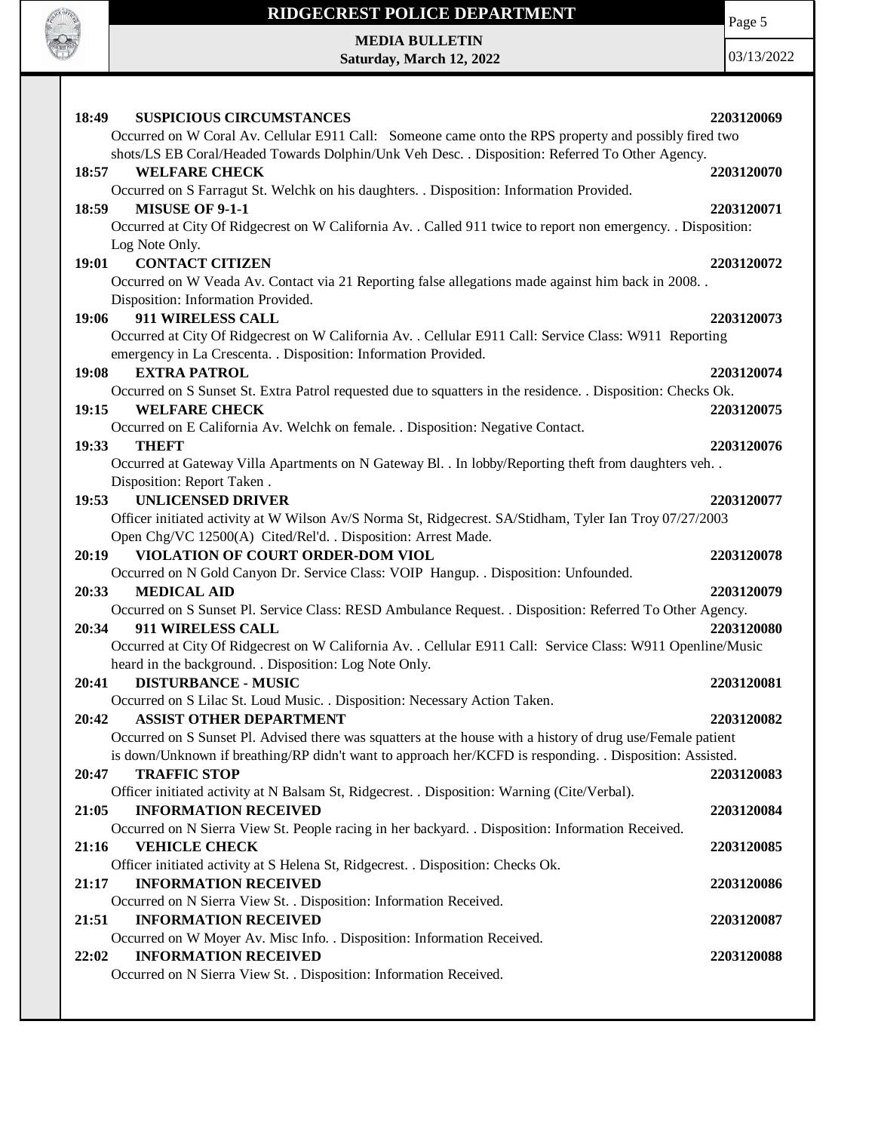

# **RIDGECREST POLICE DEPARTMENT MEDIA BULLETIN**

**Saturday, March 12, 2022**

Page 5

| <b>SUSPICIOUS CIRCUMSTANCES</b><br>18:49                                                                                                                                 | 2203120069 |
|--------------------------------------------------------------------------------------------------------------------------------------------------------------------------|------------|
| Occurred on W Coral Av. Cellular E911 Call: Someone came onto the RPS property and possibly fired two                                                                    |            |
| shots/LS EB Coral/Headed Towards Dolphin/Unk Veh Desc. . Disposition: Referred To Other Agency.                                                                          |            |
| <b>WELFARE CHECK</b><br>18:57                                                                                                                                            | 2203120070 |
| Occurred on S Farragut St. Welchk on his daughters. . Disposition: Information Provided.                                                                                 |            |
| 18:59<br><b>MISUSE OF 9-1-1</b>                                                                                                                                          | 2203120071 |
| Occurred at City Of Ridgecrest on W California Av. . Called 911 twice to report non emergency. . Disposition:                                                            |            |
| Log Note Only.                                                                                                                                                           |            |
| 19:01 CONTACT CITIZEN                                                                                                                                                    | 2203120072 |
| Occurred on W Veada Av. Contact via 21 Reporting false allegations made against him back in 2008. .                                                                      |            |
| Disposition: Information Provided.                                                                                                                                       |            |
| 911 WIRELESS CALL<br>19:06                                                                                                                                               | 2203120073 |
| Occurred at City Of Ridgecrest on W California Av. . Cellular E911 Call: Service Class: W911 Reporting                                                                   |            |
| emergency in La Crescenta. . Disposition: Information Provided.                                                                                                          |            |
| 19:08 EXTRA PATROL                                                                                                                                                       | 2203120074 |
| Occurred on S Sunset St. Extra Patrol requested due to squatters in the residence. . Disposition: Checks Ok.                                                             |            |
| <b>WELFARE CHECK</b><br>19:15                                                                                                                                            | 2203120075 |
| Occurred on E California Av. Welchk on female. . Disposition: Negative Contact.                                                                                          |            |
| 19:33<br><b>THEFT</b>                                                                                                                                                    | 2203120076 |
| Occurred at Gateway Villa Apartments on N Gateway Bl. . In lobby/Reporting theft from daughters veh. .                                                                   |            |
| Disposition: Report Taken.<br><b>UNLICENSED DRIVER</b><br>19:53                                                                                                          | 2203120077 |
|                                                                                                                                                                          |            |
| Officer initiated activity at W Wilson Av/S Norma St, Ridgecrest. SA/Stidham, Tyler Ian Troy 07/27/2003<br>Open Chg/VC 12500(A) Cited/Rel'd. . Disposition: Arrest Made. |            |
| VIOLATION OF COURT ORDER-DOM VIOL<br>20:19                                                                                                                               | 2203120078 |
| Occurred on N Gold Canyon Dr. Service Class: VOIP Hangup. . Disposition: Unfounded.                                                                                      |            |
| <b>MEDICAL AID</b><br>20:33                                                                                                                                              | 2203120079 |
| Occurred on S Sunset Pl. Service Class: RESD Ambulance Request. . Disposition: Referred To Other Agency.                                                                 |            |
| 911 WIRELESS CALL<br>20:34                                                                                                                                               | 2203120080 |
| Occurred at City Of Ridgecrest on W California Av. . Cellular E911 Call: Service Class: W911 Openline/Music                                                              |            |
| heard in the background. . Disposition: Log Note Only.                                                                                                                   |            |
| <b>DISTURBANCE - MUSIC</b><br>20:41                                                                                                                                      | 2203120081 |
| Occurred on S Lilac St. Loud Music. . Disposition: Necessary Action Taken.                                                                                               |            |
| <b>ASSIST OTHER DEPARTMENT</b><br>20:42                                                                                                                                  | 2203120082 |
| Occurred on S Sunset Pl. Advised there was squatters at the house with a history of drug use/Female patient                                                              |            |
| is down/Unknown if breathing/RP didn't want to approach her/KCFD is responding. . Disposition: Assisted.                                                                 |            |
| <b>TRAFFIC STOP</b><br>20:47                                                                                                                                             | 2203120083 |
| Officer initiated activity at N Balsam St, Ridgecrest. . Disposition: Warning (Cite/Verbal).                                                                             |            |
| <b>INFORMATION RECEIVED</b><br>21:05                                                                                                                                     | 2203120084 |
| Occurred on N Sierra View St. People racing in her backyard. . Disposition: Information Received.                                                                        |            |
| <b>VEHICLE CHECK</b><br>21:16                                                                                                                                            | 2203120085 |
| Officer initiated activity at S Helena St, Ridgecrest. . Disposition: Checks Ok.                                                                                         |            |
| <b>INFORMATION RECEIVED</b><br>21:17                                                                                                                                     | 2203120086 |
| Occurred on N Sierra View St. . Disposition: Information Received.                                                                                                       |            |
| <b>INFORMATION RECEIVED</b><br>21:51                                                                                                                                     |            |
| Occurred on W Moyer Av. Misc Info. . Disposition: Information Received.                                                                                                  | 2203120087 |
|                                                                                                                                                                          |            |
| <b>INFORMATION RECEIVED</b><br>22:02<br>Occurred on N Sierra View St. . Disposition: Information Received.                                                               | 2203120088 |